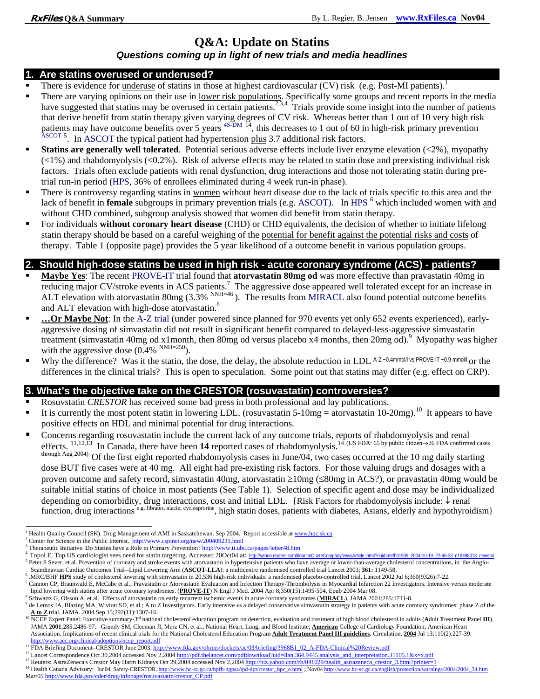# **Q&A: Update on Statins**

#### *Questions coming up in light of new trials and media headlines*

#### **1. Are statins overused or underused?**

- There is evidence for underuse of statins in those at highest cardiovascular (CV) risk (e.g. Post-MI patients).
- There are varying opinions on their use in lower risk populations. Specifically some groups and recent reports in the media have suggested that statins may be overused in certain patients.<sup>2,3,4</sup> Trials provide some insight into the number of patients that derive benefit from statin therapy given varying degrees of CV risk. Whereas better than 1 out of 10 very high risk patients may have outcome benefits over 5 years <sup>4S-DM</sup> <sup>14</sup>, this decreases to 1 out of 60 in high-risk primary prevention ASCOT <sup>5</sup>. In ASCOT the typical patient had hypertension plus 3.7 additional risk factors.
- **Statins are generally well tolerated**. Potential serious adverse effects include liver enzyme elevation (<2%), myopathy  $(\leq 1\%)$  and rhabdomyolysis  $(\leq 0.2\%)$ . Risk of adverse effects may be related to statin dose and preexisting individual risk factors. Trials often exclude patients with renal dysfunction, drug interactions and those not tolerating statin during pretrial run-in period (HPS, 36% of enrollees eliminated during 4 week run-in phase).
- There is controversy regarding statins in <u>women</u> without heart disease due to the lack of trials specific to this area and the lack of benefit in **female** subgroups in primary prevention trials (e.g. ASCOT). In HPS <sup>6</sup> which included women with and without CHD combined, subgroup analysis showed that women did benefit from statin therapy.
- For individuals **without coronary heart disease** (CHD) or CHD equivalents, the decision of whether to initiate lifelong statin therapy should be based on a careful weighing of the potential for benefit against the potential risks and costs of therapy. Table 1 (opposite page) provides the 5 year likelihood of a outcome benefit in various population groups.

## **2. Should high-dose statins be used in high risk - acute coronary syndrome (ACS) - patients?**

- **Maybe Yes**: The recent PROVE-IT trial found that **atorvastatin 80mg od** was more effective than pravastatin 40mg in reducing major CV/stroke events in ACS patients.<sup>7</sup> The aggressive dose appeared well tolerated except for an increase in ALT elevation with atorvastatin 80mg  $(3.3\%$ <sup>NNH=46</sup>). The results from MIRACL also found potential outcome benefits and ALT elevation with high-dose atorvastatin.<sup>8</sup>
- **…Or Maybe Not**: In the A-Z trial (under powered since planned for 970 events yet only 652 events experienced), earlyaggressive dosing of simvastatin did not result in significant benefit compared to delayed-less-aggressive simvastatin treatment (simvastatin 40mg od x1month, then 80mg od versus placebo x4 months, then 20mg od).<sup>9</sup> Myopathy was higher with the aggressive dose  $(0.4\%$ <sup>NNH=250</sup>).
- Why the difference? Was it the statin, the dose, the delay, the absolute reduction in LDL A-Z -0.4mmol/l vs PROVE-IT -0.9 mmol/l or the differences in the clinical trials? This is open to speculation. Some point out that statins may differ (e.g. effect on CRP).

### **3. What's the objective take on the CRESTOR (rosuvastatin) controversies?**

- Rosuvstatin *CRESTOR* has received some bad press in both professional and lay publications.
- It is currently the most potent statin in lowering LDL. (rosuvastatin  $5-10mg =$  atorvastatin  $10-20mg$ ).<sup>10</sup> It appears to have positive effects on HDL and minimal potential for drug interactions.
- Concerns regarding rosuvastatin include the current lack of any outcome trials, reports of rhabdomyolysis and renal effects. 11,12,13 In Canada, there have been **14** reported cases of rhabdomyolysis.14 (US FDA: 65 by public citizen→26 FDA confirmed cases through Aug 2004) Of the first eight reported rhabdomyolysis cases in June/04, two cases occurred at the 10 mg daily starting dose BUT five cases were at 40 mg. All eight had pre-existing risk factors. For those valuing drugs and dosages with a proven outcome and safety record, simvastatin 40mg, atorvastatin ≥10mg (≤80mg in ACS?), or pravastatin 40mg would be suitable initial statins of choice in most patients (See Table 1). Selection of specific agent and dose may be individualized depending on comorbidity, drug interactions, cost and initial LDL. {Risk Factors for rhabdomyolysis include: ↓ renal function. drug interactions e.g. fibrates, niacin, cyclosprorine, high statin doses, patients with diabetes, Asians, elderly and hypothyroidism}

<sup>-</sup>

<sup>&</sup>lt;sup>1</sup> Health Quality Council (SK). Drug Management of AMI in Saskatchewan. Sep 2004. Report accessible at www.hqc.sk.ca  $^2$  Contex for Science in the Public Interest. Http://www.equipet.org/pay/200409231 html

<sup>&</sup>lt;sup>2</sup> Center for Science in the Public Interest.  $\frac{http://www.cspinet.org/news/200409231.html}{http://www.ti.ubc.ca/pages/letter48.html}$ <br><sup>3</sup> Therapeutic Initiative. Do Statins have a Role in Primary Prevention? http://www.ti.ubc.ca/pages/letter48.htm

<sup>4</sup> Topol E. Top US cardiologist sees need for statin targeting. Accessed 200ct04 at: http://yahoo.reuters.com/financeQuoteCompanyNewsArticle.jhtml?duid=mtfh61939 2004-10-19 22-46-33 n19498018 newsml <sup>5</sup> Peter S Sever, et al. Prevention of coronary and stroke events with atorvastatin in hypertensive patients who have average or lower-than-average cholesterol concentrations, in the Anglo-Scandinavian Cardiac Outcomes Trial--Lipid Lowering Arm (**ASCOT-LLA**): a multicentre randomised controlled trial Lancet 2003; **361:** 1149-58. 6

 <sup>.</sup>MRC/BHF **HPS** study of cholesterol lowering with simvastatin in 20,536 high-risk individuals: a randomised placebo-controlled trial. Lancet 2002 Jul 6;360(9326):7-22. 7

<sup>&</sup>lt;sup>7</sup> Cannon CP, Braunwald E, McCabe et al.; Pravastatin or Atorvastatin Evaluation and Infection Therapy-Thrombolysis in Myocardial Infarction 22 Investigators. Intensive versus moderate lipid lowering with statins after acute coronary syndromes. (PROVE-IT) N Engl J Med. 2004 Apr 8;350(15):1495-504. Epub 2004 Mar 08.

Schwartz G, Olsson A, et al. Effects of atorvastatin on early recurrent ischemic events in acute coronary syndromes (**MIRACL**). JAMA 2001;285:1711-8. 9

 $^9$  de Lemos JA, Blazing MA, Wiviott SD, et al.; A to Z Investigators. Early intensive vs a delayed conservative simvastatin strategy in patients with acute coronary syndromes: phase Z of the  $\Delta$  to Z trial. JAMA. 2004

<sup>&</sup>lt;sup>10</sup> NCEP Expert Panel. Executive summary-3<sup>rd</sup> national cholesterol education program on detection, evaluation and treatment of high blood cholesterol in adults (Adult Treatment Panel III). JAMA **2001**;285:2486-97. Grundy SM, Cleeman JI, Merz CN, et al.; National Heart, Lung, and Blood Institute; **American** College of Cardiology Foundation; American Heart Association. Implications of recent clinical trials for the National Cholesterol Education Program **Adult Treatment Panel III guidelines**. Circulation. **2004** Jul 13;110(2):227-39. http://www.acc.org/clinical/adoptions/ncep\_report.pdf<br><sup>11</sup> FDA Briefing Document-CRESTOR June 2003. http://www.fda.gov/ohrms/dockets/ac/03/briefing/3968B1\_02\_A-FDA-Clinical%20Review.pdf

<sup>&</sup>lt;sup>12</sup> Lancet Correspondence Oct 30,2004 accessed Nov 2,2004 http://pdf.thelancet.com/pdfdownload?uid=llan.364.9445.analysis\_and\_interpretation.31105.1&x=x.pdf<br><sup>13</sup> Reuters: AstraZeneca's Crestor May Harm Kidneys Oct 29,2004 Mar/05 http://www.fda.gov/cder/drug/infopage/rosuvastatin/crestor\_CP.pdf